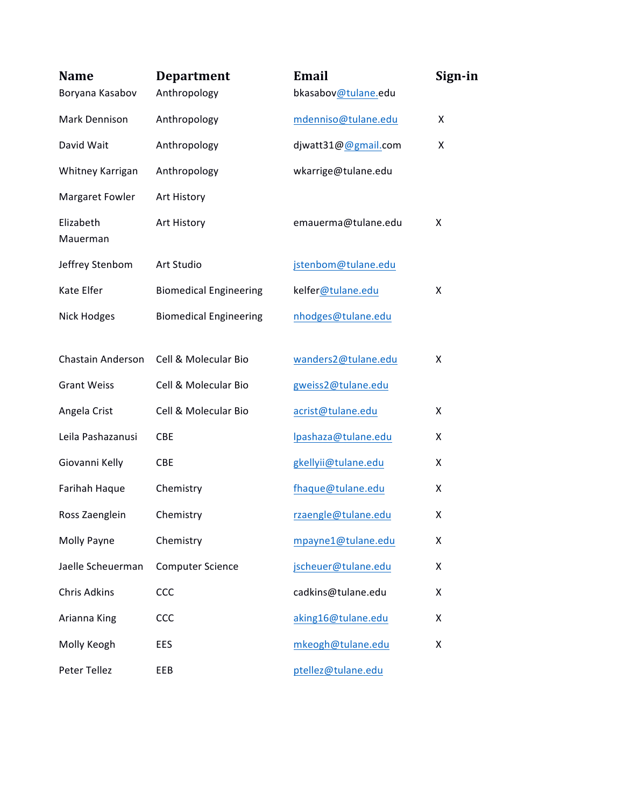| <b>Name</b><br>Boryana Kasabov | <b>Department</b><br>Anthropology | Email<br>bkasabov@tulane.edu | Sign-in |
|--------------------------------|-----------------------------------|------------------------------|---------|
| Mark Dennison                  | Anthropology                      | mdenniso@tulane.edu          | X       |
| David Wait                     | Anthropology                      | djwatt31@@gmail.com          | X       |
| Whitney Karrigan               | Anthropology                      | wkarrige@tulane.edu          |         |
| Margaret Fowler                | Art History                       |                              |         |
| Elizabeth<br>Mauerman          | Art History                       | emauerma@tulane.edu          | X       |
| Jeffrey Stenbom                | Art Studio                        | jstenbom@tulane.edu          |         |
| Kate Elfer                     | <b>Biomedical Engineering</b>     | kelfer@tulane.edu            | X       |
| <b>Nick Hodges</b>             | <b>Biomedical Engineering</b>     | nhodges@tulane.edu           |         |
| Chastain Anderson              | Cell & Molecular Bio              | wanders2@tulane.edu          | Χ       |
| <b>Grant Weiss</b>             | Cell & Molecular Bio              | gweiss2@tulane.edu           |         |
| Angela Crist                   | Cell & Molecular Bio              | acrist@tulane.edu            | X       |
| Leila Pashazanusi              | <b>CBE</b>                        | Ipashaza@tulane.edu          | X       |
| Giovanni Kelly                 | <b>CBE</b>                        | gkellyii@tulane.edu          | X       |
| Farihah Haque                  | Chemistry                         | fhaque@tulane.edu            | X       |
| Ross Zaenglein                 | Chemistry                         | rzaengle@tulane.edu          | X       |
| Molly Payne                    | Chemistry                         | mpayne1@tulane.edu           | Χ       |
| Jaelle Scheuerman              | <b>Computer Science</b>           | jscheuer@tulane.edu          | X       |
| <b>Chris Adkins</b>            | CCC                               | cadkins@tulane.edu           | X       |
| Arianna King                   | CCC                               | aking16@tulane.edu           | X       |
| Molly Keogh                    | EES                               | mkeogh@tulane.edu            | X       |
| Peter Tellez                   | EEB                               | ptellez@tulane.edu           |         |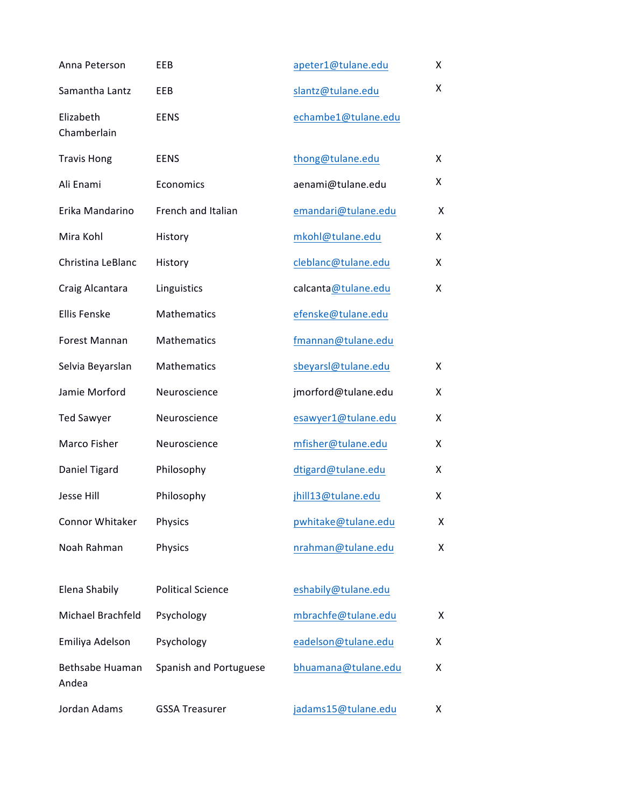| Anna Peterson                   | EEB                      | apeter1@tulane.edu  | X |
|---------------------------------|--------------------------|---------------------|---|
| Samantha Lantz                  | EEB                      | slantz@tulane.edu   | X |
| Elizabeth<br>Chamberlain        | <b>EENS</b>              | echambe1@tulane.edu |   |
| <b>Travis Hong</b>              | <b>EENS</b>              | thong@tulane.edu    | X |
| Ali Enami                       | Economics                | aenami@tulane.edu   | X |
| Erika Mandarino                 | French and Italian       | emandari@tulane.edu | X |
| Mira Kohl                       | History                  | mkohl@tulane.edu    | X |
| Christina LeBlanc               | History                  | cleblanc@tulane.edu | X |
| Craig Alcantara                 | Linguistics              | calcanta@tulane.edu | X |
| <b>Ellis Fenske</b>             | Mathematics              | efenske@tulane.edu  |   |
| Forest Mannan                   | Mathematics              | fmannan@tulane.edu  |   |
| Selvia Beyarslan                | Mathematics              | sbeyarsl@tulane.edu | X |
| Jamie Morford                   | Neuroscience             | jmorford@tulane.edu | X |
| <b>Ted Sawyer</b>               | Neuroscience             | esawyer1@tulane.edu | X |
| Marco Fisher                    | Neuroscience             | mfisher@tulane.edu  | X |
| Daniel Tigard                   | Philosophy               | dtigard@tulane.edu  | X |
| Jesse Hill                      | Philosophy               | jhill13@tulane.edu  | X |
| Connor Whitaker                 | Physics                  | pwhitake@tulane.edu | X |
| Noah Rahman                     | Physics                  | nrahman@tulane.edu  | X |
| Elena Shabily                   | <b>Political Science</b> | eshabily@tulane.edu |   |
| Michael Brachfeld               | Psychology               | mbrachfe@tulane.edu | X |
| Emiliya Adelson                 | Psychology               | eadelson@tulane.edu | X |
| <b>Bethsabe Huaman</b><br>Andea | Spanish and Portuguese   | bhuamana@tulane.edu | X |
| Jordan Adams                    | <b>GSSA Treasurer</b>    | jadams15@tulane.edu | х |